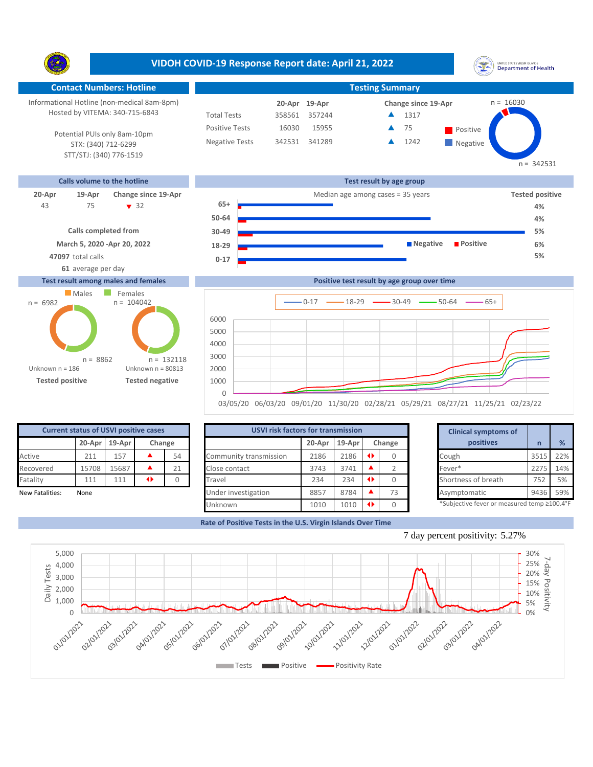**VIDOH COVID-19 Response Report date: April 21, 2022** UNITED STATES VIRGIN ISLANDS<br>Department of Health Y. **Contact Numbers: Hotline Testing Summary** Informational Hotline (non-medical 8am-8pm) n = 16030 **19-Apr 20-Apr Change since 19-Apr** Hosted by VITEMA: 340-715-6843 Total Tests 358561 357244 1317 ▲ Positive Tests 16030 15955 **A** 75 **Positive** 75 Â Potential PUIs only 8am-10pm Negative Tests 342531 341289 ▲ 1242 Δ **Negative** STX: (340) 712-6299 STT/STJ: (340) 776-1519



## **Test result among males and females**





| <b>Current status of USVI positive cases</b> |                            |       |  |    |  |  |  |  |  |  |  |
|----------------------------------------------|----------------------------|-------|--|----|--|--|--|--|--|--|--|
|                                              | 20-Apr<br>19-Apr<br>Change |       |  |    |  |  |  |  |  |  |  |
| Active                                       | 211                        | 157   |  | 54 |  |  |  |  |  |  |  |
| Recovered                                    | 15708                      | 15687 |  | 21 |  |  |  |  |  |  |  |
| Fatality                                     | 111                        | 111   |  |    |  |  |  |  |  |  |  |
| New Fatalities:                              | None                       |       |  |    |  |  |  |  |  |  |  |

| <b>Current status of USVI positive cases</b> |       |               |   |        |                        | <b>USVI risk factors for transmission</b> |          |        |    |  |                                            |      |     |
|----------------------------------------------|-------|---------------|---|--------|------------------------|-------------------------------------------|----------|--------|----|--|--------------------------------------------|------|-----|
|                                              |       | 20-Apr 19-Apr |   | Change |                        | 20-Apr                                    | $19-Apr$ | Change |    |  | positives                                  |      | %   |
| Active                                       | 211   | 157           |   | 54     | Community transmission | 2186                                      | 2186     |        |    |  | Cough                                      | 3515 | 22% |
| Recovered                                    | 15708 | 15687         |   | 21     | Close contact          | 3743                                      | 3741     |        |    |  | Fever*                                     | 2275 | 14% |
| Fatality                                     | 111   | 111           | ◆ |        | Travel                 | 234                                       | 234      |        |    |  | Shortness of breath                        | 752  | 5%  |
| New Fatalities:                              | None  |               |   |        | Under investigation    | 8857                                      | 8784     |        | 73 |  | Asymptomatic                               | 9436 | 59% |
|                                              |       |               |   |        | Unknown                | 1010                                      | 1010     |        |    |  | *Subjective fever or measured temp ≥100.4° |      |     |

|        | for transmission |           |        | <b>Clinical symptoms of</b>                 |      |  |
|--------|------------------|-----------|--------|---------------------------------------------|------|--|
| 20-Apr | 19-Apr           |           | Change | positives                                   | n    |  |
| 2186   | 2186             | ◆         | 0      | Cough                                       | 3515 |  |
| 3743   | 3741             |           | 2      | Fever*                                      | 2275 |  |
| 234    | 234              | ◆         | 0      | Shortness of breath                         | 752  |  |
| 8857   | 8784             |           | 73     | Asymptomatic                                | 9436 |  |
| 1010   | 1010             | $\bullet$ | 0      | *Subjective fever or measured temp ≥100.4°F |      |  |

 $n = 342531$ 

**Rate of Positive Tests in the U.S. Virgin Islands Over Time**